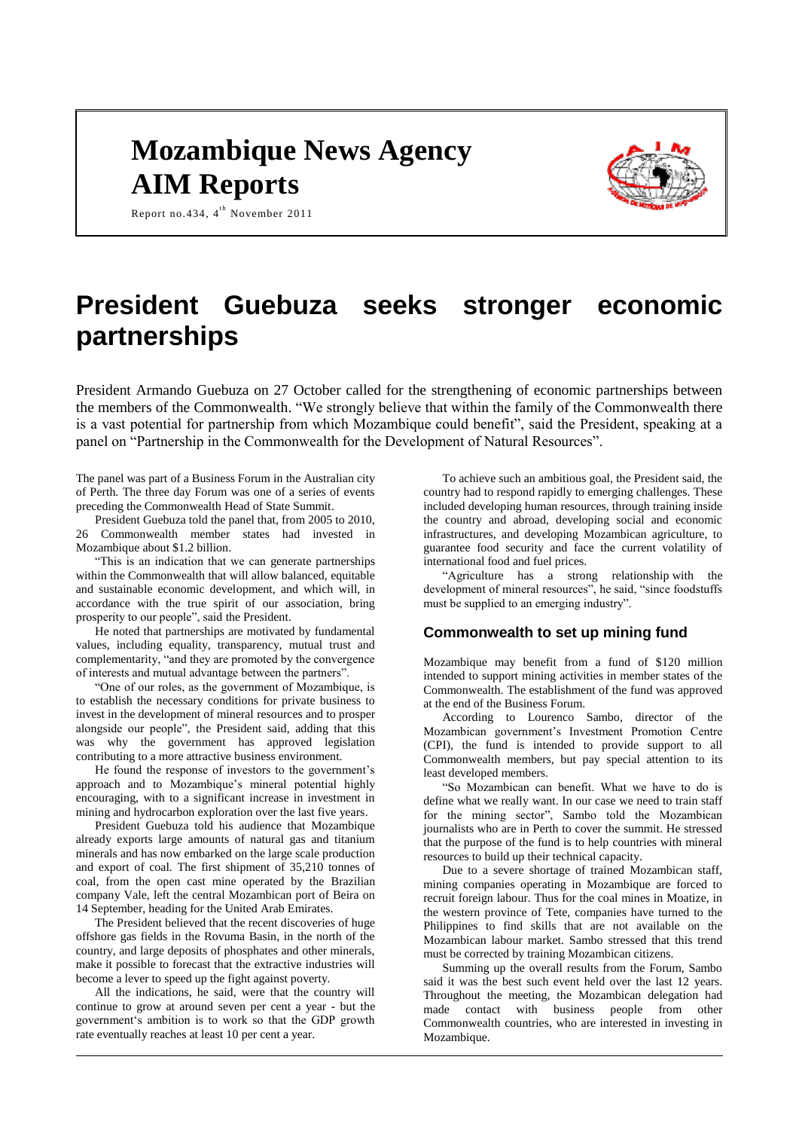# **Mozambique News Agency AIM Reports**



Report no. 434,  $4^{\text{th}}$  November 2011

# **President Guebuza seeks stronger economic partnerships**

President Armando Guebuza on 27 October called for the strengthening of economic partnerships between the members of the Commonwealth. "We strongly believe that within the family of the Commonwealth there is a vast potential for partnership from which Mozambique could benefit", said the President, speaking at a panel on "Partnership in the Commonwealth for the Development of Natural Resources".

The panel was part of a Business Forum in the Australian city of Perth. The three day Forum was one of a series of events preceding the Commonwealth Head of State Summit.

President Guebuza told the panel that, from 2005 to 2010, 26 Commonwealth member states had invested in Mozambique about \$1.2 billion.

"This is an indication that we can generate partnerships within the Commonwealth that will allow balanced, equitable and sustainable economic development, and which will, in accordance with the true spirit of our association, bring prosperity to our people", said the President.

He noted that partnerships are motivated by fundamental values, including equality, transparency, mutual trust and complementarity, "and they are promoted by the convergence of interests and mutual advantage between the partners".

"One of our roles, as the government of Mozambique, is to establish the necessary conditions for private business to invest in the development of mineral resources and to prosper alongside our people", the President said, adding that this was why the government has approved legislation contributing to a more attractive business environment.

He found the response of investors to the government's approach and to Mozambique's mineral potential highly encouraging, with to a significant increase in investment in mining and hydrocarbon exploration over the last five years.

President Guebuza told his audience that Mozambique already exports large amounts of natural gas and titanium minerals and has now embarked on the large scale production and export of coal. The first shipment of 35,210 tonnes of coal, from the open cast mine operated by the Brazilian company Vale, left the central Mozambican port of Beira on 14 September, heading for the United Arab Emirates.

The President believed that the recent discoveries of huge offshore gas fields in the Rovuma Basin, in the north of the country, and large deposits of phosphates and other minerals, make it possible to forecast that the extractive industries will become a lever to speed up the fight against poverty.

All the indications, he said, were that the country will continue to grow at around seven per cent a year - but the government's ambition is to work so that the GDP growth rate eventually reaches at least 10 per cent a year.

To achieve such an ambitious goal, the President said, the country had to respond rapidly to emerging challenges. These included developing human resources, through training inside the country and abroad, developing social and economic infrastructures, and developing Mozambican agriculture, to guarantee food security and face the current volatility of international food and fuel prices.

"Agriculture has a strong relationship with the development of mineral resources", he said, "since foodstuffs must be supplied to an emerging industry".

## **Commonwealth to set up mining fund**

Mozambique may benefit from a fund of \$120 million intended to support mining activities in member states of the Commonwealth. The establishment of the fund was approved at the end of the Business Forum.

According to Lourenco Sambo, director of the Mozambican government's Investment Promotion Centre (CPI), the fund is intended to provide support to all Commonwealth members, but pay special attention to its least developed members.

"So Mozambican can benefit. What we have to do is define what we really want. In our case we need to train staff for the mining sector", Sambo told the Mozambican journalists who are in Perth to cover the summit. He stressed that the purpose of the fund is to help countries with mineral resources to build up their technical capacity.

Due to a severe shortage of trained Mozambican staff, mining companies operating in Mozambique are forced to recruit foreign labour. Thus for the coal mines in Moatize, in the western province of Tete, companies have turned to the Philippines to find skills that are not available on the Mozambican labour market. Sambo stressed that this trend must be corrected by training Mozambican citizens.

Summing up the overall results from the Forum, Sambo said it was the best such event held over the last 12 years. Throughout the meeting, the Mozambican delegation had made contact with business people from other Commonwealth countries, who are interested in investing in Mozambique.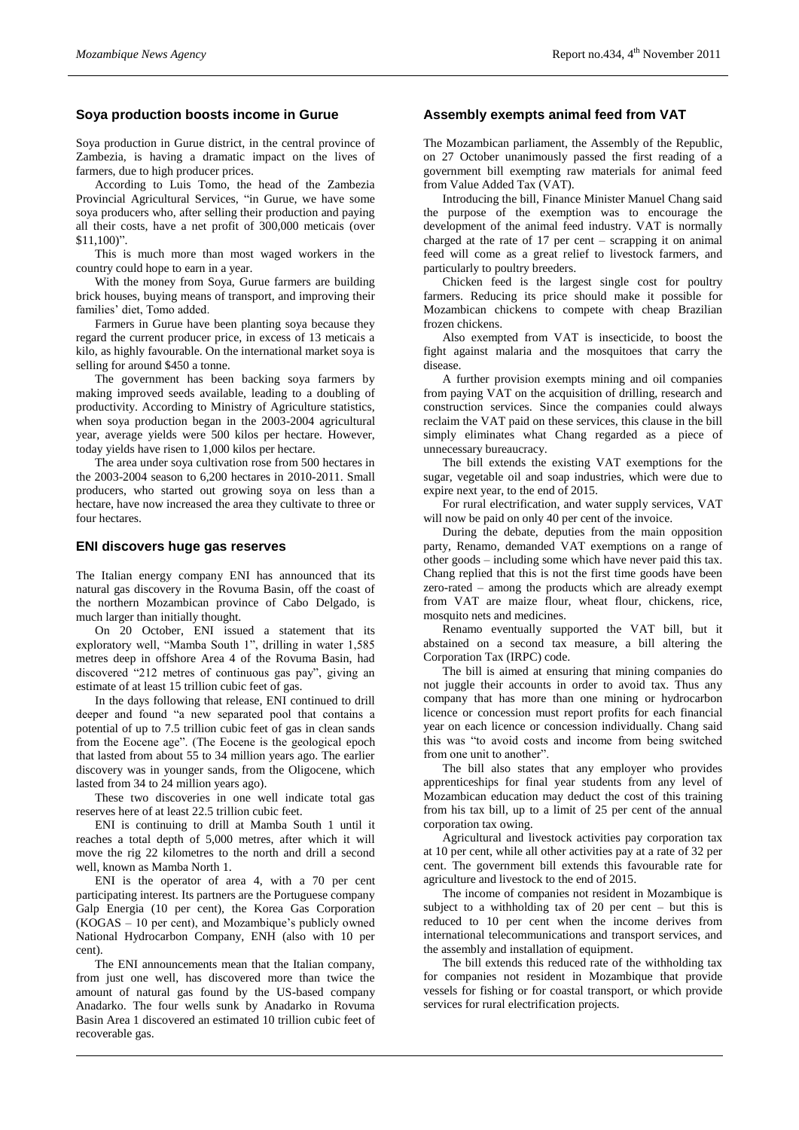## **Soya production boosts income in Gurue**

Soya production in Gurue district, in the central province of Zambezia, is having a dramatic impact on the lives of farmers, due to high producer prices.

According to Luis Tomo, the head of the Zambezia Provincial Agricultural Services, "in Gurue, we have some soya producers who, after selling their production and paying all their costs, have a net profit of 300,000 meticais (over \$11,100)".

This is much more than most waged workers in the country could hope to earn in a year.

With the money from Soya, Gurue farmers are building brick houses, buying means of transport, and improving their families' diet, Tomo added.

Farmers in Gurue have been planting soya because they regard the current producer price, in excess of 13 meticais a kilo, as highly favourable. On the international market soya is selling for around \$450 a tonne.

The government has been backing soya farmers by making improved seeds available, leading to a doubling of productivity. According to Ministry of Agriculture statistics, when soya production began in the 2003-2004 agricultural year, average yields were 500 kilos per hectare. However, today yields have risen to 1,000 kilos per hectare.

The area under soya cultivation rose from 500 hectares in the 2003-2004 season to 6,200 hectares in 2010-2011. Small producers, who started out growing soya on less than a hectare, have now increased the area they cultivate to three or four hectares.

#### **ENI discovers huge gas reserves**

The Italian energy company ENI has announced that its natural gas discovery in the Rovuma Basin, off the coast of the northern Mozambican province of Cabo Delgado, is much larger than initially thought.

On 20 October, ENI issued a statement that its exploratory well, "Mamba South 1", drilling in water 1,585 metres deep in offshore Area 4 of the Rovuma Basin, had discovered "212 metres of continuous gas pay", giving an estimate of at least 15 trillion cubic feet of gas.

In the days following that release, ENI continued to drill deeper and found "a new separated pool that contains a potential of up to 7.5 trillion cubic feet of gas in clean sands from the Eocene age". (The Eocene is the geological epoch that lasted from about 55 to 34 million years ago. The earlier discovery was in younger sands, from the Oligocene, which lasted from 34 to 24 million years ago).

These two discoveries in one well indicate total gas reserves here of at least 22.5 trillion cubic feet.

ENI is continuing to drill at Mamba South 1 until it reaches a total depth of 5,000 metres, after which it will move the rig 22 kilometres to the north and drill a second well, known as Mamba North 1.

ENI is the operator of area 4, with a 70 per cent participating interest. Its partners are the Portuguese company Galp Energia (10 per cent), the Korea Gas Corporation (KOGAS – 10 per cent), and Mozambique's publicly owned National Hydrocarbon Company, ENH (also with 10 per cent).

The ENI announcements mean that the Italian company, from just one well, has discovered more than twice the amount of natural gas found by the US-based company Anadarko. The four wells sunk by Anadarko in Rovuma Basin Area 1 discovered an estimated 10 trillion cubic feet of recoverable gas.

### **Assembly exempts animal feed from VAT**

The Mozambican parliament, the Assembly of the Republic, on 27 October unanimously passed the first reading of a government bill exempting raw materials for animal feed from Value Added Tax (VAT).

Introducing the bill, Finance Minister Manuel Chang said the purpose of the exemption was to encourage the development of the animal feed industry. VAT is normally charged at the rate of 17 per cent – scrapping it on animal feed will come as a great relief to livestock farmers, and particularly to poultry breeders.

Chicken feed is the largest single cost for poultry farmers. Reducing its price should make it possible for Mozambican chickens to compete with cheap Brazilian frozen chickens.

Also exempted from VAT is insecticide, to boost the fight against malaria and the mosquitoes that carry the disease.

A further provision exempts mining and oil companies from paying VAT on the acquisition of drilling, research and construction services. Since the companies could always reclaim the VAT paid on these services, this clause in the bill simply eliminates what Chang regarded as a piece of unnecessary bureaucracy.

The bill extends the existing VAT exemptions for the sugar, vegetable oil and soap industries, which were due to expire next year, to the end of 2015.

For rural electrification, and water supply services, VAT will now be paid on only 40 per cent of the invoice.

During the debate, deputies from the main opposition party, Renamo, demanded VAT exemptions on a range of other goods – including some which have never paid this tax. Chang replied that this is not the first time goods have been zero-rated – among the products which are already exempt from VAT are maize flour, wheat flour, chickens, rice, mosquito nets and medicines.

Renamo eventually supported the VAT bill, but it abstained on a second tax measure, a bill altering the Corporation Tax (IRPC) code.

The bill is aimed at ensuring that mining companies do not juggle their accounts in order to avoid tax. Thus any company that has more than one mining or hydrocarbon licence or concession must report profits for each financial year on each licence or concession individually. Chang said this was "to avoid costs and income from being switched from one unit to another".

The bill also states that any employer who provides apprenticeships for final year students from any level of Mozambican education may deduct the cost of this training from his tax bill, up to a limit of 25 per cent of the annual corporation tax owing.

Agricultural and livestock activities pay corporation tax at 10 per cent, while all other activities pay at a rate of 32 per cent. The government bill extends this favourable rate for agriculture and livestock to the end of 2015.

The income of companies not resident in Mozambique is subject to a withholding tax of 20 per cent – but this is reduced to 10 per cent when the income derives from international telecommunications and transport services, and the assembly and installation of equipment.

The bill extends this reduced rate of the withholding tax for companies not resident in Mozambique that provide vessels for fishing or for coastal transport, or which provide services for rural electrification projects.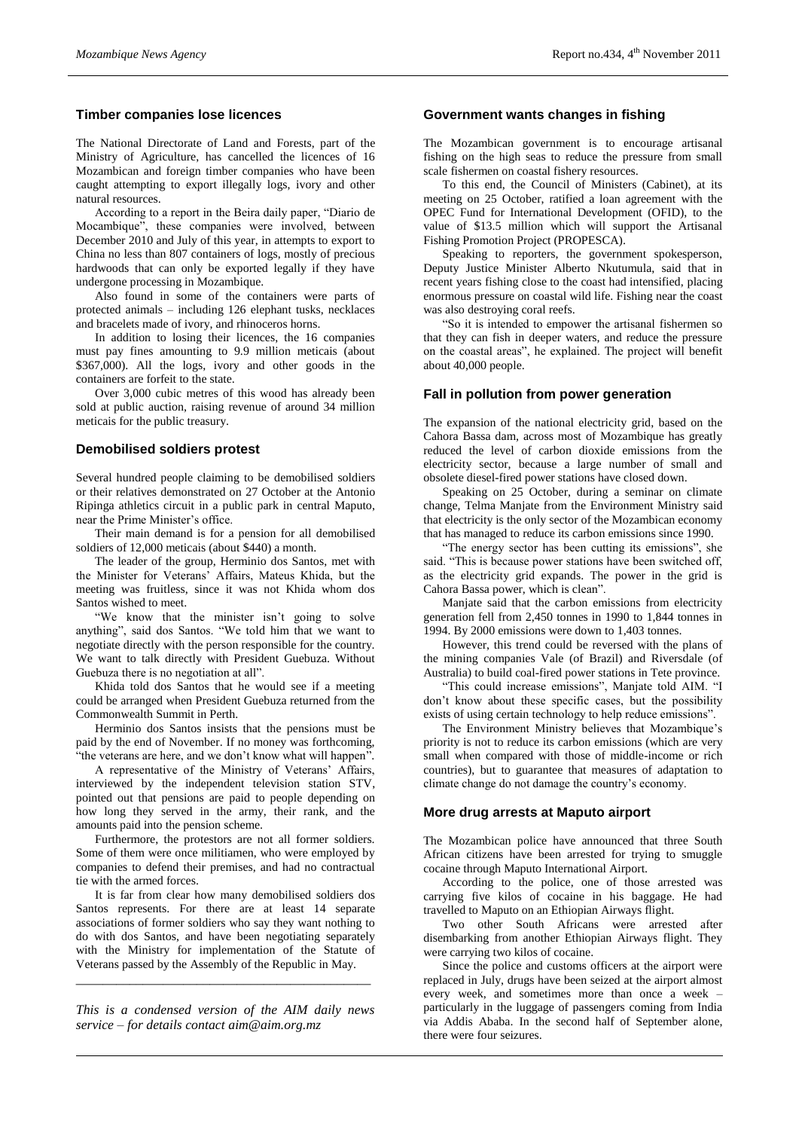## **Timber companies lose licences**

The National Directorate of Land and Forests, part of the Ministry of Agriculture, has cancelled the licences of 16 Mozambican and foreign timber companies who have been caught attempting to export illegally logs, ivory and other natural resources.

According to a report in the Beira daily paper, "Diario de Mocambique", these companies were involved, between December 2010 and July of this year, in attempts to export to China no less than 807 containers of logs, mostly of precious hardwoods that can only be exported legally if they have undergone processing in Mozambique.

Also found in some of the containers were parts of protected animals – including 126 elephant tusks, necklaces and bracelets made of ivory, and rhinoceros horns.

In addition to losing their licences, the 16 companies must pay fines amounting to 9.9 million meticais (about \$367,000). All the logs, ivory and other goods in the containers are forfeit to the state.

Over 3,000 cubic metres of this wood has already been sold at public auction, raising revenue of around 34 million meticais for the public treasury.

# **Demobilised soldiers protest**

Several hundred people claiming to be demobilised soldiers or their relatives demonstrated on 27 October at the Antonio Ripinga athletics circuit in a public park in central Maputo, near the Prime Minister's office.

Their main demand is for a pension for all demobilised soldiers of 12,000 meticais (about \$440) a month.

The leader of the group, Herminio dos Santos, met with the Minister for Veterans' Affairs, Mateus Khida, but the meeting was fruitless, since it was not Khida whom dos Santos wished to meet.

"We know that the minister isn't going to solve anything", said dos Santos. "We told him that we want to negotiate directly with the person responsible for the country. We want to talk directly with President Guebuza. Without Guebuza there is no negotiation at all".

Khida told dos Santos that he would see if a meeting could be arranged when President Guebuza returned from the Commonwealth Summit in Perth.

Herminio dos Santos insists that the pensions must be paid by the end of November. If no money was forthcoming, "the veterans are here, and we don't know what will happen".

A representative of the Ministry of Veterans' Affairs, interviewed by the independent television station STV, pointed out that pensions are paid to people depending on how long they served in the army, their rank, and the amounts paid into the pension scheme.

Furthermore, the protestors are not all former soldiers. Some of them were once militiamen, who were employed by companies to defend their premises, and had no contractual tie with the armed forces.

It is far from clear how many demobilised soldiers dos Santos represents. For there are at least 14 separate associations of former soldiers who say they want nothing to do with dos Santos, and have been negotiating separately with the Ministry for implementation of the Statute of Veterans passed by the Assembly of the Republic in May.

*This is a condensed version of the AIM daily news service – for details contact [aim@aim.org.mz](mailto:aim@aim.org.mz)*

*\_\_\_\_\_\_\_\_\_\_\_\_\_\_\_\_\_\_\_\_\_\_\_\_\_\_\_\_\_\_\_\_\_\_\_\_\_\_\_\_\_\_\_\_*

### **Government wants changes in fishing**

The Mozambican government is to encourage artisanal fishing on the high seas to reduce the pressure from small scale fishermen on coastal fishery resources.

To this end, the Council of Ministers (Cabinet), at its meeting on 25 October, ratified a loan agreement with the OPEC Fund for International Development (OFID), to the value of \$13.5 million which will support the Artisanal Fishing Promotion Project (PROPESCA).

Speaking to reporters, the government spokesperson, Deputy Justice Minister Alberto Nkutumula, said that in recent years fishing close to the coast had intensified, placing enormous pressure on coastal wild life. Fishing near the coast was also destroying coral reefs.

"So it is intended to empower the artisanal fishermen so that they can fish in deeper waters, and reduce the pressure on the coastal areas", he explained. The project will benefit about 40,000 people.

## **Fall in pollution from power generation**

The expansion of the national electricity grid, based on the Cahora Bassa dam, across most of Mozambique has greatly reduced the level of carbon dioxide emissions from the electricity sector, because a large number of small and obsolete diesel-fired power stations have closed down.

Speaking on 25 October, during a seminar on climate change, Telma Manjate from the Environment Ministry said that electricity is the only sector of the Mozambican economy that has managed to reduce its carbon emissions since 1990.

"The energy sector has been cutting its emissions", she said. "This is because power stations have been switched off, as the electricity grid expands. The power in the grid is Cahora Bassa power, which is clean".

Manjate said that the carbon emissions from electricity generation fell from 2,450 tonnes in 1990 to 1,844 tonnes in 1994. By 2000 emissions were down to 1,403 tonnes.

However, this trend could be reversed with the plans of the mining companies Vale (of Brazil) and Riversdale (of Australia) to build coal-fired power stations in Tete province.

"This could increase emissions", Manjate told AIM. "I don't know about these specific cases, but the possibility exists of using certain technology to help reduce emissions".

The Environment Ministry believes that Mozambique's priority is not to reduce its carbon emissions (which are very small when compared with those of middle-income or rich countries), but to guarantee that measures of adaptation to climate change do not damage the country's economy.

#### **More drug arrests at Maputo airport**

The Mozambican police have announced that three South African citizens have been arrested for trying to smuggle cocaine through Maputo International Airport.

According to the police, one of those arrested was carrying five kilos of cocaine in his baggage. He had travelled to Maputo on an Ethiopian Airways flight.

Two other South Africans were arrested after disembarking from another Ethiopian Airways flight. They were carrying two kilos of cocaine.

Since the police and customs officers at the airport were replaced in July, drugs have been seized at the airport almost every week, and sometimes more than once a week – particularly in the luggage of passengers coming from India via Addis Ababa. In the second half of September alone, there were four seizures.